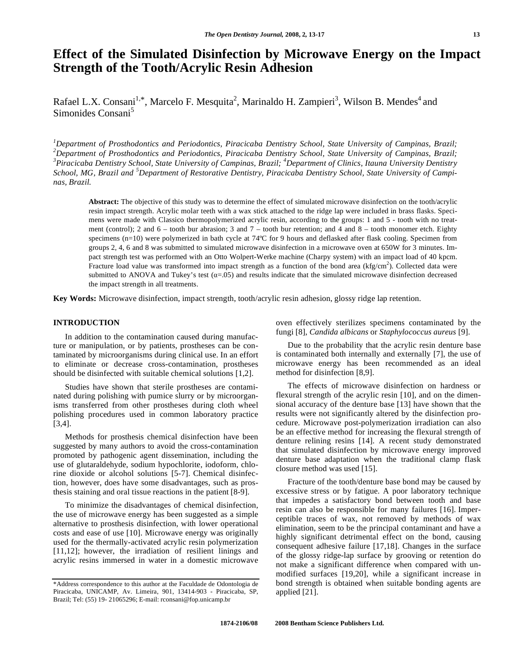# **Effect of the Simulated Disinfection by Microwave Energy on the Impact Strength of the Tooth/Acrylic Resin Adhesion**

Rafael L.X. Consani<sup>1,\*</sup>, Marcelo F. Mesquita<sup>2</sup>, Marinaldo H. Zampieri<sup>3</sup>, Wilson B. Mendes<sup>4</sup> and Simonides Consani<sup>5</sup>

*1 Department of Prosthodontics and Periodontics, Piracicaba Dentistry School, State University of Campinas, Brazil; 2 Department of Prosthodontics and Periodontics, Piracicaba Dentistry School, State University of Campinas, Brazil;*  <sup>3</sup> Piracicaba Dentistry School, State University of Campinas, Brazil; <sup>4</sup>Department of Clinics, Itauna University Dentistry *School, MG, Brazil and <sup>5</sup> Department of Restorative Dentistry, Piracicaba Dentistry School, State University of Campinas, Brazil.* 

**Abstract:** The objective of this study was to determine the effect of simulated microwave disinfection on the tooth/acrylic resin impact strength. Acrylic molar teeth with a wax stick attached to the ridge lap were included in brass flasks. Specimens were made with Classico thermopolymerized acrylic resin, according to the groups: 1 and 5 - tooth with no treatment (control); 2 and  $6 -$  tooth bur abrasion; 3 and  $7 -$  tooth bur retention; and 4 and  $8 -$  tooth monomer etch. Eighty specimens (n=10) were polymerized in bath cycle at 74°C for 9 hours and deflasked after flask cooling. Specimen from groups 2, 4, 6 and 8 was submitted to simulated microwave disinfection in a microwave oven at 650W for 3 minutes. Impact strength test was performed with an Otto Wolpert-Werke machine (Charpy system) with an impact load of 40 kpcm. Fracture load value was transformed into impact strength as a function of the bond area (kfg/cm<sup>2</sup>). Collected data were submitted to ANOVA and Tukey's test  $(a=0.05)$  and results indicate that the simulated microwave disinfection decreased the impact strength in all treatments.

**Key Words:** Microwave disinfection, impact strength, tooth/acrylic resin adhesion, glossy ridge lap retention.

# **INTRODUCTION**

In addition to the contamination caused during manufacture or manipulation, or by patients, prostheses can be contaminated by microorganisms during clinical use. In an effort to eliminate or decrease cross-contamination, prostheses should be disinfected with suitable chemical solutions [1,2].

 Studies have shown that sterile prostheses are contaminated during polishing with pumice slurry or by microorganisms transferred from other prostheses during cloth wheel polishing procedures used in common laboratory practice [3,4].

 Methods for prosthesis chemical disinfection have been suggested by many authors to avoid the cross-contamination promoted by pathogenic agent dissemination, including the use of glutaraldehyde, sodium hypochlorite, iodoform, chlorine dioxide or alcohol solutions [5-7]. Chemical disinfection, however, does have some disadvantages, such as prosthesis staining and oral tissue reactions in the patient [8-9].

 To minimize the disadvantages of chemical disinfection, the use of microwave energy has been suggested as a simple alternative to prosthesis disinfection, with lower operational costs and ease of use [10]. Microwave energy was originally used for the thermally-activated acrylic resin polymerization [11,12]; however, the irradiation of resilient linings and acrylic resins immersed in water in a domestic microwave oven effectively sterilizes specimens contaminated by the fungi [8], *Candida albicans* or *Staphylococcus aureus* [9].

 Due to the probability that the acrylic resin denture base is contaminated both internally and externally [7], the use of microwave energy has been recommended as an ideal method for disinfection [8,9].

 The effects of microwave disinfection on hardness or flexural strength of the acrylic resin [10], and on the dimensional accuracy of the denture base [13] have shown that the results were not significantly altered by the disinfection procedure. Microwave post-polymerization irradiation can also be an effective method for increasing the flexural strength of denture relining resins [14]. A recent study demonstrated that simulated disinfection by microwave energy improved denture base adaptation when the traditional clamp flask closure method was used [15].

 Fracture of the tooth/denture base bond may be caused by excessive stress or by fatigue. A poor laboratory technique that impedes a satisfactory bond between tooth and base resin can also be responsible for many failures [16]. Imperceptible traces of wax, not removed by methods of wax elimination, seem to be the principal contaminant and have a highly significant detrimental effect on the bond, causing consequent adhesive failure [17,18]. Changes in the surface of the glossy ridge-lap surface by grooving or retention do not make a significant difference when compared with unmodified surfaces [19,20], while a significant increase in bond strength is obtained when suitable bonding agents are applied [21].

<sup>\*</sup>Address correspondence to this author at the Faculdade de Odontologia de Piracicaba, UNICAMP, Av. Limeira, 901, 13414-903 - Piracicaba, SP, Brazil; Tel: (55) 19- 21065296; E-mail: rconsani@fop.unicamp.br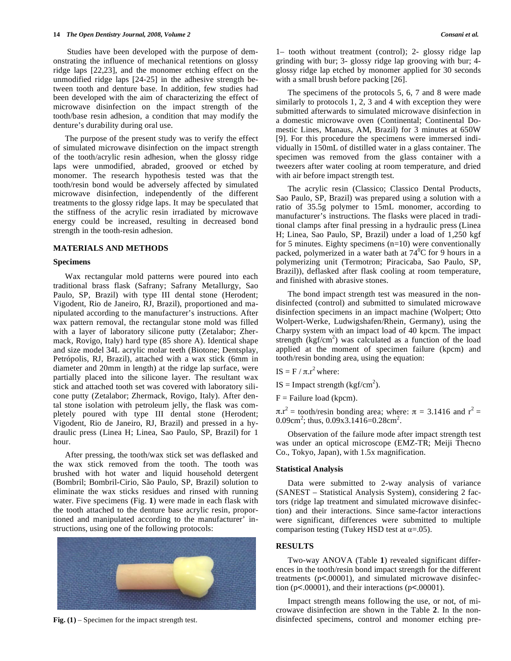Studies have been developed with the purpose of demonstrating the influence of mechanical retentions on glossy ridge laps [22,23], and the monomer etching effect on the unmodified ridge laps [24-25] in the adhesive strength between tooth and denture base. In addition, few studies had been developed with the aim of characterizing the effect of microwave disinfection on the impact strength of the tooth/base resin adhesion, a condition that may modify the denture's durability during oral use.

 The purpose of the present study was to verify the effect of simulated microwave disinfection on the impact strength of the tooth/acrylic resin adhesion, when the glossy ridge laps were unmodified, abraded, grooved or etched by monomer. The research hypothesis tested was that the tooth/resin bond would be adversely affected by simulated microwave disinfection, independently of the different treatments to the glossy ridge laps. It may be speculated that the stiffness of the acrylic resin irradiated by microwave energy could be increased, resulting in decreased bond strength in the tooth-resin adhesion.

## **MATERIALS AND METHODS**

#### **Specimens**

 Wax rectangular mold patterns were poured into each traditional brass flask (Safrany; Safrany Metallurgy, Sao Paulo, SP, Brazil) with type III dental stone (Herodent; Vigodent, Rio de Janeiro, RJ, Brazil), proportioned and manipulated according to the manufacturer's instructions. After wax pattern removal, the rectangular stone mold was filled with a layer of laboratory silicone putty (Zetalabor; Zhermack, Rovigo, Italy) hard type (85 shore A). Identical shape and size model 34L acrylic molar teeth (Biotone; Dentsplay, Petrópolis, RJ, Brazil), attached with a wax stick (6mm in diameter and 20mm in length) at the ridge lap surface, were partially placed into the silicone layer. The resultant wax stick and attached tooth set was covered with laboratory silicone putty (Zetalabor; Zhermack, Rovigo, Italy). After dental stone isolation with petroleum jelly, the flask was completely poured with type III dental stone (Herodent; Vigodent, Rio de Janeiro, RJ, Brazil) and pressed in a hydraulic press (Linea H; Linea, Sao Paulo, SP, Brazil) for 1 hour.

 After pressing, the tooth/wax stick set was deflasked and the wax stick removed from the tooth. The tooth was brushed with hot water and liquid household detergent (Bombril; Bombril-Cirio, São Paulo, SP, Brazil) solution to eliminate the wax sticks residues and rinsed with running water. Five specimens (Fig. **1**) were made in each flask with the tooth attached to the denture base acrylic resin, proportioned and manipulated according to the manufacturer' instructions, using one of the following protocols:



**Fig. (1)** – Specimen for the impact strength test.

1– tooth without treatment (control); 2- glossy ridge lap grinding with bur; 3- glossy ridge lap grooving with bur; 4 glossy ridge lap etched by monomer applied for 30 seconds with a small brush before packing [26].

 The specimens of the protocols 5, 6, 7 and 8 were made similarly to protocols 1, 2, 3 and 4 with exception they were submitted afterwards to simulated microwave disinfection in a domestic microwave oven (Continental; Continental Domestic Lines, Manaus, AM, Brazil) for 3 minutes at 650W [9]. For this procedure the specimens were immersed individually in 150mL of distilled water in a glass container. The specimen was removed from the glass container with a tweezers after water cooling at room temperature, and dried with air before impact strength test.

The acrylic resin (Classico; Classico Dental Products, Sao Paulo, SP, Brazil) was prepared using a solution with a ratio of 35.5g polymer to 15mL monomer, according to manufacturer's instructions. The flasks were placed in traditional clamps after final pressing in a hydraulic press (Linea H; Linea, Sao Paulo, SP, Brazil) under a load of 1,250 kgf for 5 minutes. Eighty specimens  $(n=10)$  were conventionally packed, polymerized in a water bath at  $74^{\circ}$ C for 9 hours in a polymerizing unit (Termotron; Piracicaba, Sao Paulo, SP, Brazil)), deflasked after flask cooling at room temperature, and finished with abrasive stones.

 The bond impact strength test was measured in the nondisinfected (control) and submitted to simulated microwave disinfection specimens in an impact machine (Wolpert; Otto Wolpert-Werke, Ludwigshafen/Rhein, Germany), using the Charpy system with an impact load of 40 kpcm. The impact strength  $(kgf/cm<sup>2</sup>)$  was calculated as a function of the load applied at the moment of specimen failure (kpcm) and tooth/resin bonding area, using the equation:

IS = F /  $\pi$ . $r^2$  where:

 $IS = Impact strength (kgf/cm<sup>2</sup>).$ 

 $F =$  Failure load (kpcm).

 $\pi r^2$  = tooth/resin bonding area; where:  $\pi = 3.1416$  and  $r^2$  = 0.09cm<sup>2</sup>; thus, 0.09x3.1416=0.28cm<sup>2</sup>.

Observation of the failure mode after impact strength test was under an optical microscope (EMZ-TR; Meiji Thecno Co., Tokyo, Japan), with 1.5x magnification.

## **Statistical Analysis**

 Data were submitted to 2-way analysis of variance (SANEST – Statistical Analysis System), considering 2 factors (ridge lap treatment and simulated microwave disinfection) and their interactions. Since same-factor interactions were significant, differences were submitted to multiple comparison testing (Tukey HSD test at  $\alpha$ =.05).

# **RESULTS**

 Two-way ANOVA (Table **1**) revealed significant differences in the tooth/resin bond impact strength for the different treatments (p<.00001), and simulated microwave disinfection ( $p$ <.00001), and their interactions ( $p$ <.00001).

 Impact strength means following the use, or not, of microwave disinfection are shown in the Table **2**. In the nondisinfected specimens, control and monomer etching pre-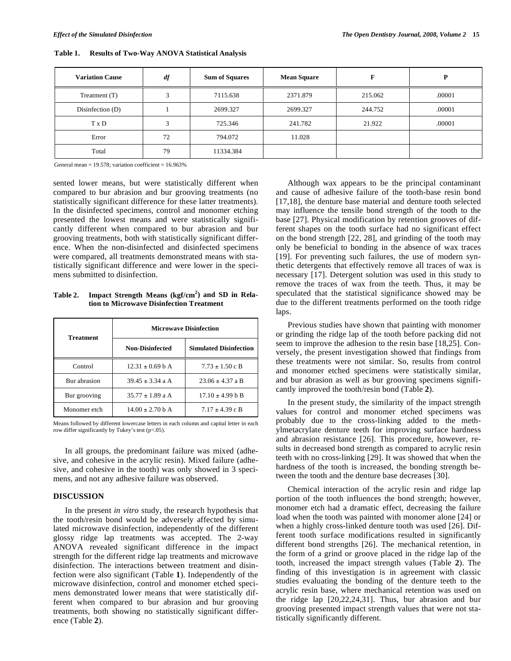| <b>Variation Cause</b> | $\it df$ | <b>Sum of Squares</b> | <b>Mean Square</b> |         | P      |
|------------------------|----------|-----------------------|--------------------|---------|--------|
| Treatment (T)          |          | 7115.638              | 2371.879           | 215.062 | .00001 |
| Disinfection $(D)$     |          | 2699.327              | 2699.327           | 244.752 | .00001 |
| T x D                  | 2        | 725.346               | 241.782            | 21.922  | .00001 |
| Error                  | 72       | 794.072               | 11.028             |         |        |
| Total                  | 79       | 11334.384             |                    |         |        |

**Table 1. Results of Two-Way ANOVA Statistical Analysis** 

General mean  $= 19.578$ ; variation coefficient  $= 16.963\%$ 

sented lower means, but were statistically different when compared to bur abrasion and bur grooving treatments (no statistically significant difference for these latter treatments). In the disinfected specimens, control and monomer etching presented the lowest means and were statistically significantly different when compared to bur abrasion and bur grooving treatments, both with statistically significant difference. When the non-disinfected and disinfected specimens were compared, all treatments demonstrated means with statistically significant difference and were lower in the specimens submitted to disinfection.

**Table 2. Impact Strength Means (kgf/cm<sup>2</sup> ) and SD in Relation to Microwave Disinfection Treatment** 

| <b>Treatment</b> | <b>Microwave Disinfection</b> |                               |  |
|------------------|-------------------------------|-------------------------------|--|
|                  | <b>Non-Disinfected</b>        | <b>Simulated Disinfection</b> |  |
| Control          | $12.31 \pm 0.69$ b A          | $7.73 \pm 1.50 \text{ c B}$   |  |
| Bur abrasion     | $39.45 \pm 3.34$ a A          | $23.06 \pm 4.37$ a B          |  |
| Bur grooving     | $35.77 \pm 1.89$ a A          | $17.10 \pm 4.99$ b B          |  |
| Monomer etch     | $14.00 + 2.70$ b A            | $7.17 \pm 4.39 \text{ c B}$   |  |

Means followed by different lowercase letters in each column and capital letter in each row differ significantly by Tukey's test (p<.05).

 In all groups, the predominant failure was mixed (adhesive, and cohesive in the acrylic resin). Mixed failure (adhesive, and cohesive in the tooth) was only showed in 3 specimens, and not any adhesive failure was observed.

## **DISCUSSION**

 In the present *in vitro* study, the research hypothesis that the tooth/resin bond would be adversely affected by simulated microwave disinfection, independently of the different glossy ridge lap treatments was accepted. The 2-way ANOVA revealed significant difference in the impact strength for the different ridge lap treatments and microwave disinfection. The interactions between treatment and disinfection were also significant (Table **1**). Independently of the microwave disinfection, control and monomer etched specimens demonstrated lower means that were statistically different when compared to bur abrasion and bur grooving treatments, both showing no statistically significant difference (Table **2**).

 Although wax appears to be the principal contaminant and cause of adhesive failure of the tooth-base resin bond [17,18], the denture base material and denture tooth selected may influence the tensile bond strength of the tooth to the base [27]. Physical modification by retention grooves of different shapes on the tooth surface had no significant effect on the bond strength [22, 28], and grinding of the tooth may only be beneficial to bonding in the absence of wax traces [19]. For preventing such failures, the use of modern synthetic detergents that effectively remove all traces of wax is necessary [17]. Detergent solution was used in this study to remove the traces of wax from the teeth. Thus, it may be speculated that the statistical significance showed may be due to the different treatments performed on the tooth ridge laps.

 Previous studies have shown that painting with monomer or grinding the ridge lap of the tooth before packing did not seem to improve the adhesion to the resin base [18,25]. Conversely, the present investigation showed that findings from these treatments were not similar. So, results from control and monomer etched specimens were statistically similar, and bur abrasion as well as bur grooving specimens significantly improved the tooth/resin bond (Table **2**).

 In the present study, the similarity of the impact strength values for control and monomer etched specimens was probably due to the cross-linking added to the methylmetacrylate denture teeth for improving surface hardness and abrasion resistance [26]. This procedure, however, results in decreased bond strength as compared to acrylic resin teeth with no cross-linking [29]. It was showed that when the hardness of the tooth is increased, the bonding strength between the tooth and the denture base decreases [30].

 Chemical interaction of the acrylic resin and ridge lap portion of the tooth influences the bond strength; however, monomer etch had a dramatic effect, decreasing the failure load when the tooth was painted with monomer alone [24] or when a highly cross-linked denture tooth was used [26]. Different tooth surface modifications resulted in significantly different bond strengths [26]. The mechanical retention, in the form of a grind or groove placed in the ridge lap of the tooth, increased the impact strength values (Table **2**). The finding of this investigation is in agreement with classic studies evaluating the bonding of the denture teeth to the acrylic resin base, where mechanical retention was used on the ridge lap [20,22,24,31]. Thus, bur abrasion and bur grooving presented impact strength values that were not statistically significantly different.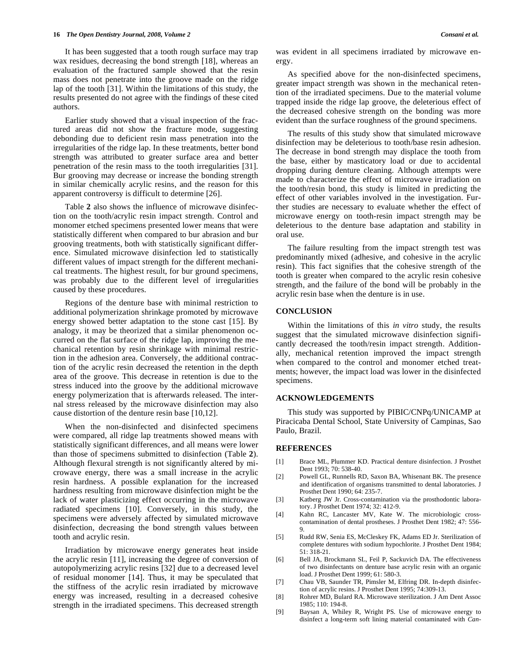It has been suggested that a tooth rough surface may trap wax residues, decreasing the bond strength [18], whereas an evaluation of the fractured sample showed that the resin mass does not penetrate into the groove made on the ridge lap of the tooth [31]. Within the limitations of this study, the results presented do not agree with the findings of these cited authors.

 Earlier study showed that a visual inspection of the fractured areas did not show the fracture mode, suggesting debonding due to deficient resin mass penetration into the irregularities of the ridge lap. In these treatments, better bond strength was attributed to greater surface area and better penetration of the resin mass to the tooth irregularities [31]. Bur grooving may decrease or increase the bonding strength in similar chemically acrylic resins, and the reason for this apparent controversy is difficult to determine [26].

 Table **2** also shows the influence of microwave disinfection on the tooth/acrylic resin impact strength. Control and monomer etched specimens presented lower means that were statistically different when compared to bur abrasion and bur grooving treatments, both with statistically significant difference. Simulated microwave disinfection led to statistically different values of impact strength for the different mechanical treatments. The highest result, for bur ground specimens, was probably due to the different level of irregularities caused by these procedures.

 Regions of the denture base with minimal restriction to additional polymerization shrinkage promoted by microwave energy showed better adaptation to the stone cast [15]. By analogy, it may be theorized that a similar phenomenon occurred on the flat surface of the ridge lap, improving the mechanical retention by resin shrinkage with minimal restriction in the adhesion area. Conversely, the additional contraction of the acrylic resin decreased the retention in the depth area of the groove. This decrease in retention is due to the stress induced into the groove by the additional microwave energy polymerization that is afterwards released. The internal stress released by the microwave disinfection may also cause distortion of the denture resin base [10,12].

 When the non-disinfected and disinfected specimens were compared, all ridge lap treatments showed means with statistically significant differences, and all means were lower than those of specimens submitted to disinfection (Table **2**). Although flexural strength is not significantly altered by microwave energy, there was a small increase in the acrylic resin hardness. A possible explanation for the increased hardness resulting from microwave disinfection might be the lack of water plasticizing effect occurring in the microwave radiated specimens [10]. Conversely, in this study, the specimens were adversely affected by simulated microwave disinfection, decreasing the bond strength values between tooth and acrylic resin.

 Irradiation by microwave energy generates heat inside the acrylic resin [11], increasing the degree of conversion of autopolymerizing acrylic resins [32] due to a decreased level of residual monomer [14]. Thus, it may be speculated that the stiffness of the acrylic resin irradiated by microwave energy was increased, resulting in a decreased cohesive strength in the irradiated specimens. This decreased strength was evident in all specimens irradiated by microwave energy.

 As specified above for the non-disinfected specimens, greater impact strength was shown in the mechanical retention of the irradiated specimens. Due to the material volume trapped inside the ridge lap groove, the deleterious effect of the decreased cohesive strength on the bonding was more evident than the surface roughness of the ground specimens.

 The results of this study show that simulated microwave disinfection may be deleterious to tooth/base resin adhesion. The decrease in bond strength may displace the tooth from the base, either by masticatory load or due to accidental dropping during denture cleaning. Although attempts were made to characterize the effect of microwave irradiation on the tooth/resin bond, this study is limited in predicting the effect of other variables involved in the investigation. Further studies are necessary to evaluate whether the effect of microwave energy on tooth-resin impact strength may be deleterious to the denture base adaptation and stability in oral use.

The failure resulting from the impact strength test was predominantly mixed (adhesive, and cohesive in the acrylic resin). This fact signifies that the cohesive strength of the tooth is greater when compared to the acrylic resin cohesive strength, and the failure of the bond will be probably in the acrylic resin base when the denture is in use.

## **CONCLUSION**

 Within the limitations of this *in vitro* study, the results suggest that the simulated microwave disinfection significantly decreased the tooth/resin impact strength. Additionally, mechanical retention improved the impact strength when compared to the control and monomer etched treatments; however, the impact load was lower in the disinfected specimens.

#### **ACKNOWLEDGEMENTS**

 This study was supported by PIBIC/CNPq/UNICAMP at Piracicaba Dental School, State University of Campinas, Sao Paulo, Brazil.

## **REFERENCES**

- [1] Brace ML, Plummer KD. Practical denture disinfection. J Prosthet Dent 1993; 70: 538-40.
- [2] Powell GL, Runnells RD, Saxon BA, Whisenant BK. The presence and identification of organisms transmitted to dental laboratories. J Prosthet Dent 1990; 64: 235-7.
- [3] Katberg JW Jr. Cross-contamination via the prosthodontic laboratory. J Prosthet Dent 1974; 32: 412-9.
- [4] Kahn RC, Lancaster MV, Kate W. The microbiologic crosscontamination of dental prostheses. J Prosthet Dent 1982; 47: 556- 9.
- [5] Rudd RW, Senia ES, McCleskey FK, Adams ED Jr. Sterilization of complete dentures with sodium hypochlorite. J Prosthet Dent 1984; 51: 318-21.
- [6] Bell JA, Brockmann SL, Feil P, Sackuvich DA. The effectiveness of two disinfectants on denture base acrylic resin with an organic load. J Prosthet Dent 1999; 61: 580-3.
- [7] Chau VB, Saunder TR, Pimsler M, Elfring DR. In-depth disinfection of acrylic resins. J Prosthet Dent 1995; 74:309-13.
- [8] Rohrer MD, Bulard RA. Microwave sterilization. J Am Dent Assoc  $1985: 110: 194-8.$
- [9] Baysan A, Whiley R, Wright PS. Use of microwave energy to disinfect a long-term soft lining material contaminated with *Can-*